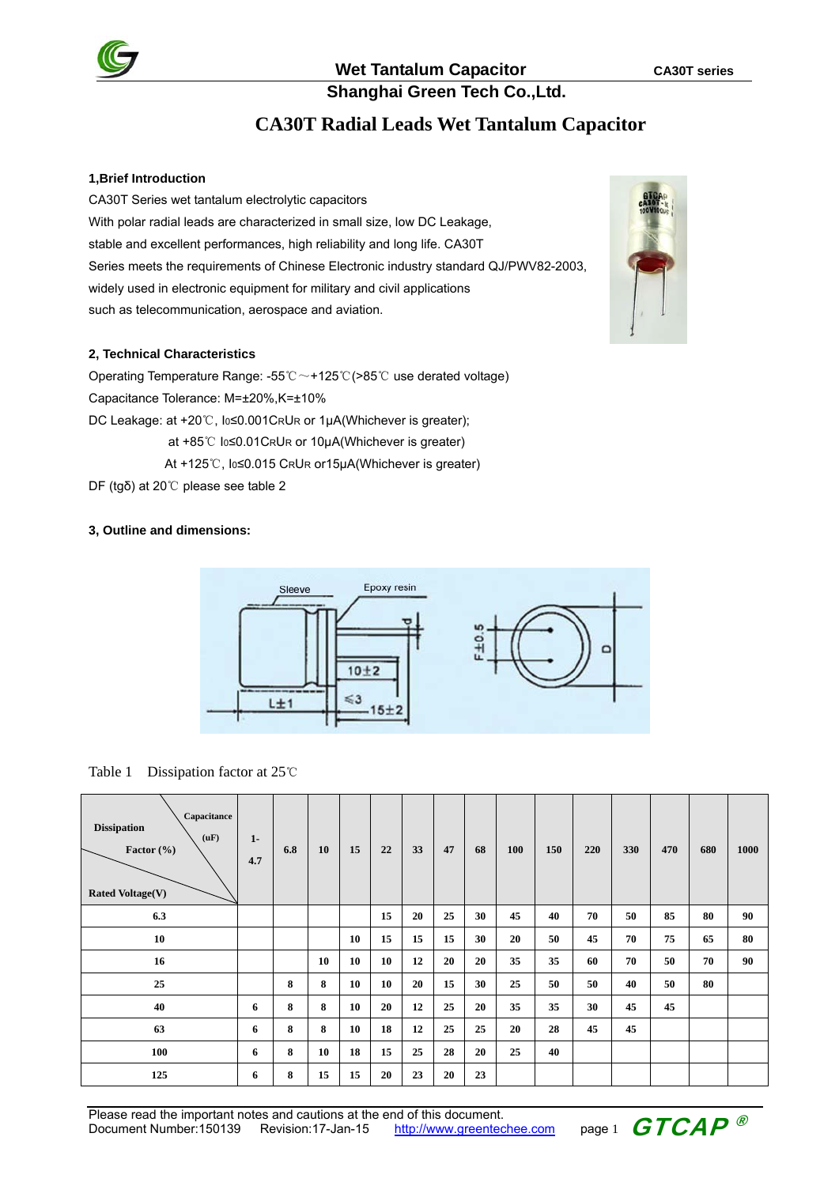

**Shanghai Green Tech Co.,Ltd.**

# **CA30T Radial Leads Wet Tantalum Capacitor**

### **1,Brief Introduction**

CA30T Series wet tantalum electrolytic capacitors With polar radial leads are characterized in small size, low DC Leakage, stable and excellent performances, high reliability and long life. CA30T Series meets the requirements of Chinese Electronic industry standard QJ/PWV82-2003, widely used in electronic equipment for military and civil applications such as telecommunication, aerospace and aviation.

### **2, Technical Characteristics**

Operating Temperature Range: -55℃~+125℃(>85℃ use derated voltage) Capacitance Tolerance: M=±20%,K=±10% DC Leakage: at +20℃, Io≤0.001CRUR or 1μA(Whichever is greater); at +85℃ Io≤0.01CRUR or 10µA(Whichever is greater)

At +125℃, I0≤0.015 CRUR or15μA(Whichever is greater)

DF (tgδ) at 20℃ please see table 2

### **3, Outline and dimensions:**



Table 1 Dissipation factor at 25℃

| Capacitance<br><b>Dissipation</b><br>(uF)<br>Factor (%)<br><b>Rated Voltage(V)</b> | $1 -$<br>4.7 | 6.8 | 10 | 15 | 22 | 33 | 47 | 68 | 100 | 150 | 220 | 330 | 470 | 680 | 1000 |
|------------------------------------------------------------------------------------|--------------|-----|----|----|----|----|----|----|-----|-----|-----|-----|-----|-----|------|
| 6.3                                                                                |              |     |    |    | 15 | 20 | 25 | 30 | 45  | 40  | 70  | 50  | 85  | 80  | 90   |
| 10                                                                                 |              |     |    | 10 | 15 | 15 | 15 | 30 | 20  | 50  | 45  | 70  | 75  | 65  | 80   |
| 16                                                                                 |              |     | 10 | 10 | 10 | 12 | 20 | 20 | 35  | 35  | 60  | 70  | 50  | 70  | 90   |
| 25                                                                                 |              | 8   | 8  | 10 | 10 | 20 | 15 | 30 | 25  | 50  | 50  | 40  | 50  | 80  |      |
| 40                                                                                 | 6            | 8   | 8  | 10 | 20 | 12 | 25 | 20 | 35  | 35  | 30  | 45  | 45  |     |      |
| 63                                                                                 | 6            | 8   | 8  | 10 | 18 | 12 | 25 | 25 | 20  | 28  | 45  | 45  |     |     |      |
| 100                                                                                | 6            | 8   | 10 | 18 | 15 | 25 | 28 | 20 | 25  | 40  |     |     |     |     |      |
| 125                                                                                | 6            | 8   | 15 | 15 | 20 | 23 | 20 | 23 |     |     |     |     |     |     |      |